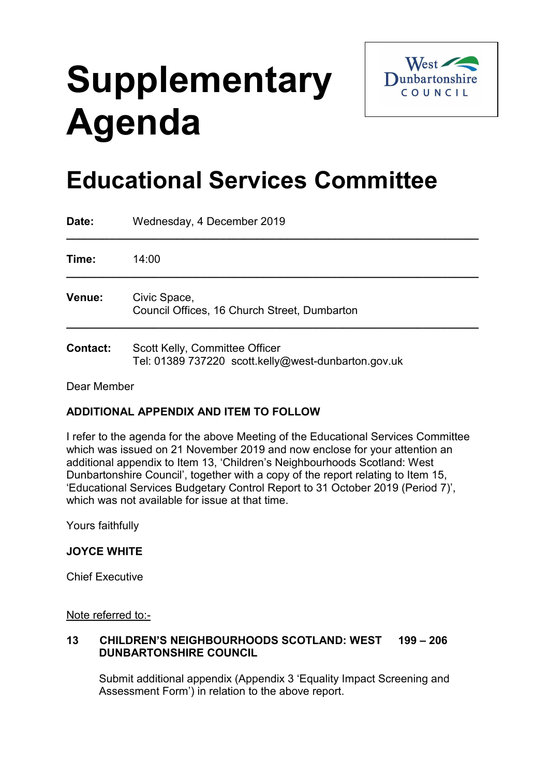# **Supplementary Agenda**



## **Educational Services Committee**

| Date:           | Wednesday, 4 December 2019                                                            |
|-----------------|---------------------------------------------------------------------------------------|
| Time:           | 14:00                                                                                 |
| Venue:          | Civic Space,<br>Council Offices, 16 Church Street, Dumbarton                          |
| <b>Contact:</b> | Scott Kelly, Committee Officer<br>Tel: 01389 737220 scott.kelly@west-dunbarton.gov.uk |

#### Dear Member

### **ADDITIONAL APPENDIX AND ITEM TO FOLLOW**

I refer to the agenda for the above Meeting of the Educational Services Committee which was issued on 21 November 2019 and now enclose for your attention an additional appendix to Item 13, 'Children's Neighbourhoods Scotland: West Dunbartonshire Council', together with a copy of the report relating to Item 15, 'Educational Services Budgetary Control Report to 31 October 2019 (Period 7)', which was not available for issue at that time.

Yours faithfully

#### **JOYCE WHITE**

Chief Executive

Note referred to:-

#### **13 CHILDREN'S NEIGHBOURHOODS SCOTLAND: WEST 199 – 206 DUNBARTONSHIRE COUNCIL**

Submit additional appendix (Appendix 3 'Equality Impact Screening and Assessment Form') in relation to the above report.